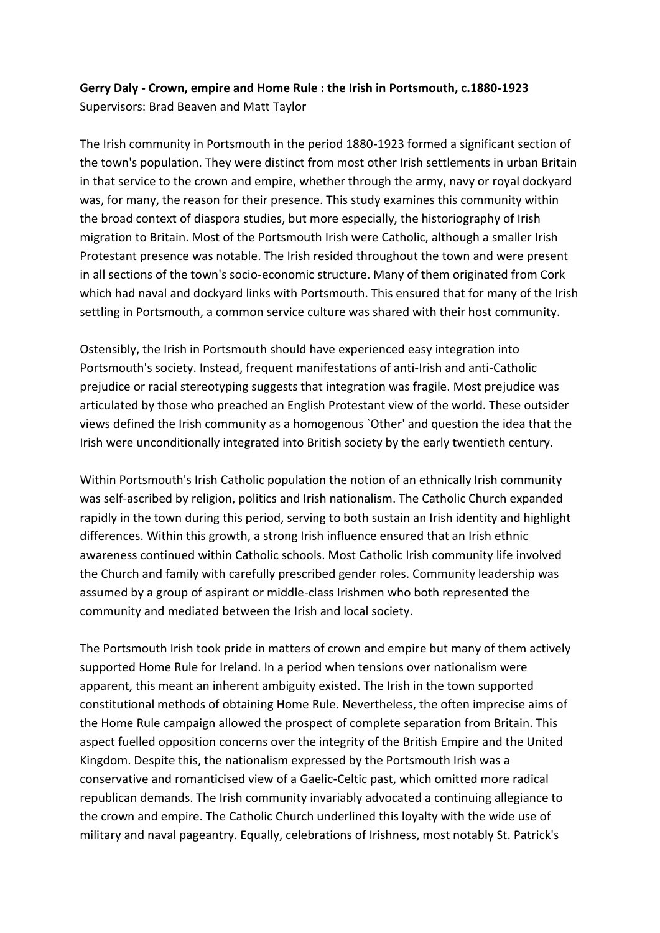## **Gerry Daly - Crown, empire and Home Rule : the Irish in Portsmouth, c.1880-1923**  Supervisors: Brad Beaven and Matt Taylor

The Irish community in Portsmouth in the period 1880-1923 formed a significant section of the town's population. They were distinct from most other Irish settlements in urban Britain in that service to the crown and empire, whether through the army, navy or royal dockyard was, for many, the reason for their presence. This study examines this community within the broad context of diaspora studies, but more especially, the historiography of Irish migration to Britain. Most of the Portsmouth Irish were Catholic, although a smaller Irish Protestant presence was notable. The Irish resided throughout the town and were present in all sections of the town's socio-economic structure. Many of them originated from Cork which had naval and dockyard links with Portsmouth. This ensured that for many of the Irish settling in Portsmouth, a common service culture was shared with their host community.

Ostensibly, the Irish in Portsmouth should have experienced easy integration into Portsmouth's society. Instead, frequent manifestations of anti-Irish and anti-Catholic prejudice or racial stereotyping suggests that integration was fragile. Most prejudice was articulated by those who preached an English Protestant view of the world. These outsider views defined the Irish community as a homogenous `Other' and question the idea that the Irish were unconditionally integrated into British society by the early twentieth century.

Within Portsmouth's Irish Catholic population the notion of an ethnically Irish community was self-ascribed by religion, politics and Irish nationalism. The Catholic Church expanded rapidly in the town during this period, serving to both sustain an Irish identity and highlight differences. Within this growth, a strong Irish influence ensured that an Irish ethnic awareness continued within Catholic schools. Most Catholic Irish community life involved the Church and family with carefully prescribed gender roles. Community leadership was assumed by a group of aspirant or middle-class Irishmen who both represented the community and mediated between the Irish and local society.

The Portsmouth Irish took pride in matters of crown and empire but many of them actively supported Home Rule for Ireland. In a period when tensions over nationalism were apparent, this meant an inherent ambiguity existed. The Irish in the town supported constitutional methods of obtaining Home Rule. Nevertheless, the often imprecise aims of the Home Rule campaign allowed the prospect of complete separation from Britain. This aspect fuelled opposition concerns over the integrity of the British Empire and the United Kingdom. Despite this, the nationalism expressed by the Portsmouth Irish was a conservative and romanticised view of a Gaelic-Celtic past, which omitted more radical republican demands. The Irish community invariably advocated a continuing allegiance to the crown and empire. The Catholic Church underlined this loyalty with the wide use of military and naval pageantry. Equally, celebrations of Irishness, most notably St. Patrick's